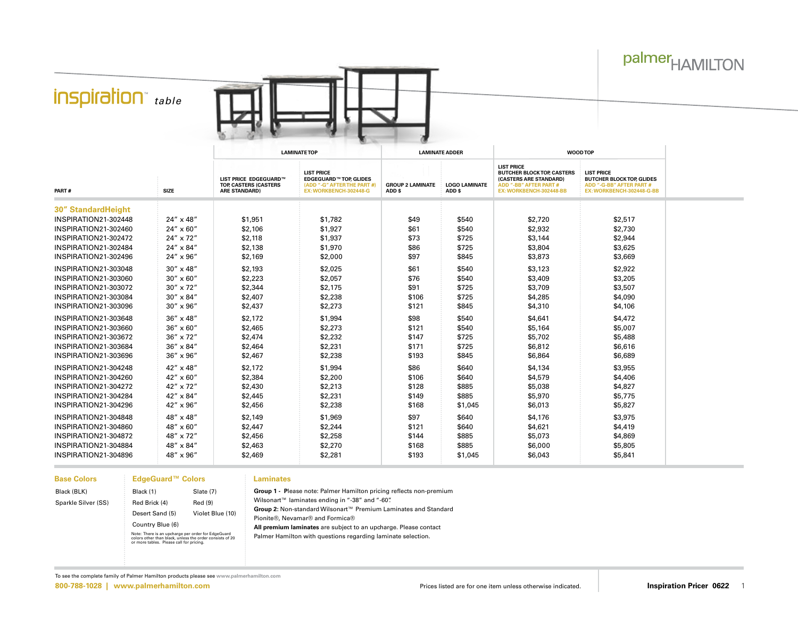## palmer<sub>HAMILTON</sub>

## *inspiration table*



|                           |                    | <b>LAMINATE TOP</b>                                                    |                                                                                                             | <b>LAMINATE ADDER</b>             |                                | <b>WOOD TOP</b>                                                                                                                              |                                                                                                                |  |
|---------------------------|--------------------|------------------------------------------------------------------------|-------------------------------------------------------------------------------------------------------------|-----------------------------------|--------------------------------|----------------------------------------------------------------------------------------------------------------------------------------------|----------------------------------------------------------------------------------------------------------------|--|
| PART#                     | <b>SIZE</b>        | LIST PRICE EDGEGUARD™<br>TOP, CASTERS (CASTERS<br><b>ARE STANDARD)</b> | <b>LIST PRICE</b><br><b>EDGEGUARD™ TOP. GLIDES</b><br>(ADD "-G" AFTER THE PART #)<br>EX: WORKBENCH-302448-G | <b>GROUP 2 LAMINATE</b><br>ADD \$ | <b>LOGO LAMINATE</b><br>ADD \$ | <b>LIST PRICE</b><br><b>BUTCHER BLOCK TOP, CASTERS</b><br>(CASTERS ARE STANDARD)<br><b>ADD "-BB" AFTER PART #</b><br>EX: WORKBENCH-302448-BB | <b>LIST PRICE</b><br><b>BUTCHER BLOCK TOP, GLIDES</b><br>ADD "-G-BB" AFTER PART #<br>EX: WORKBENCH-302448-G-BB |  |
| <b>30" StandardHeight</b> |                    |                                                                        |                                                                                                             |                                   |                                |                                                                                                                                              |                                                                                                                |  |
| INSPIRATION21-302448      | 24" x 48"          | \$1,951                                                                | \$1,782                                                                                                     | \$49                              | \$540                          | \$2,720                                                                                                                                      | \$2,517                                                                                                        |  |
| INSPIRATION21-302460      | $24'' \times 60''$ | \$2,106                                                                | \$1,927                                                                                                     | \$61                              | \$540                          | \$2,932                                                                                                                                      | \$2,730                                                                                                        |  |
| INSPIRATION21-302472      | 24" x 72"          | \$2,118                                                                | \$1,937                                                                                                     | \$73                              | \$725                          | \$3,144                                                                                                                                      | \$2,944                                                                                                        |  |
| INSPIRATION21-302484      | 24" x 84"          | \$2,138                                                                | \$1,970                                                                                                     | \$86                              | \$725                          | \$3,804                                                                                                                                      | \$3,625                                                                                                        |  |
| INSPIRATION21-302496      | 24" x 96"          | \$2,169                                                                | \$2,000                                                                                                     | \$97                              | \$845                          | \$3,873                                                                                                                                      | \$3,669                                                                                                        |  |
| INSPIRATION21-303048      | $30'' \times 48''$ | \$2,193                                                                | \$2,025                                                                                                     | \$61                              | \$540                          | \$3,123                                                                                                                                      | \$2,922                                                                                                        |  |
| INSPIRATION21-303060      | $30'' \times 60''$ | \$2,223                                                                | \$2,057                                                                                                     | \$76                              | \$540                          | \$3,409                                                                                                                                      | \$3,205                                                                                                        |  |
| INSPIRATION21-303072      | 30" x 72"          | \$2,344                                                                | \$2,175                                                                                                     | \$91                              | \$725                          | \$3,709                                                                                                                                      | \$3,507                                                                                                        |  |
| INSPIRATION21-303084      | 30" x 84"          | \$2,407                                                                | \$2,238                                                                                                     | \$106                             | \$725                          | \$4,285                                                                                                                                      | \$4,090                                                                                                        |  |
| INSPIRATION21-303096      | 30" x 96"          | \$2,437                                                                | \$2,273                                                                                                     | \$121                             | \$845                          | \$4,310                                                                                                                                      | \$4,106                                                                                                        |  |
| INSPIRATION21-303648      | 36" x 48"          | \$2,172                                                                | \$1,994                                                                                                     | \$98                              | \$540                          | \$4,641                                                                                                                                      | \$4,472                                                                                                        |  |
| INSPIRATION21-303660      | $36'' \times 60''$ | \$2,465                                                                | \$2,273                                                                                                     | \$121                             | \$540                          | \$5,164                                                                                                                                      | \$5,007                                                                                                        |  |
| INSPIRATION21-303672      | 36" x 72"          | \$2,474                                                                | \$2,232                                                                                                     | \$147                             | \$725                          | \$5,702                                                                                                                                      | \$5,488                                                                                                        |  |
| INSPIRATION21-303684      | 36" x 84"          | \$2,464                                                                | \$2,231                                                                                                     | \$171                             | \$725                          | \$6,812                                                                                                                                      | \$6,616                                                                                                        |  |
| INSPIRATION21-303696      | 36" x 96"          | \$2,467                                                                | \$2,238                                                                                                     | \$193                             | \$845                          | \$6,864                                                                                                                                      | \$6,689                                                                                                        |  |
| INSPIRATION21-304248      | 42" x 48"          | \$2,172                                                                | \$1,994                                                                                                     | \$86                              | \$640                          | \$4,134                                                                                                                                      | \$3,955                                                                                                        |  |
| INSPIRATION21-304260      | 42" x 60"          | \$2,384                                                                | \$2,200                                                                                                     | \$106                             | \$640                          | \$4,579                                                                                                                                      | \$4,406                                                                                                        |  |
| INSPIRATION21-304272      | 42" x 72"          | \$2,430                                                                | \$2,213                                                                                                     | \$128                             | \$885                          | \$5,038                                                                                                                                      | \$4,827                                                                                                        |  |
| INSPIRATION21-304284      | 42" x 84"          | \$2,445                                                                | \$2,231                                                                                                     | \$149                             | \$885                          | \$5,970                                                                                                                                      | \$5,775                                                                                                        |  |
| INSPIRATION21-304296      | 42" x 96"          | \$2,456                                                                | \$2,238                                                                                                     | \$168                             | \$1,045                        | \$6,013                                                                                                                                      | \$5,827                                                                                                        |  |
| INSPIRATION21-304848      | 48" x 48"          | \$2,149                                                                | \$1,969                                                                                                     | \$97                              | \$640                          | \$4,176                                                                                                                                      | \$3,975                                                                                                        |  |
| INSPIRATION21-304860      | 48" x 60"          | \$2,447                                                                | \$2,244                                                                                                     | \$121                             | \$640                          | \$4,621                                                                                                                                      | \$4,419                                                                                                        |  |
| INSPIRATION21-304872      | 48" x 72"          | \$2,456                                                                | \$2,258                                                                                                     | \$144                             | \$885                          | \$5,073                                                                                                                                      | \$4,869                                                                                                        |  |
| INSPIRATION21-304884      | 48" x 84"          | \$2,463                                                                | \$2,270                                                                                                     | \$168                             | \$885                          | \$6,000                                                                                                                                      | \$5,805                                                                                                        |  |
| INSPIRATION21-304896      | 48" x 96"          | \$2,469                                                                | \$2,281                                                                                                     | \$193                             | \$1,045                        | \$6,043                                                                                                                                      | \$5,841                                                                                                        |  |

| <b>Base Colors</b>  | <b>EdgeGuard™ Colors</b> |                                                                                                                                                            |  |  |  |  |
|---------------------|--------------------------|------------------------------------------------------------------------------------------------------------------------------------------------------------|--|--|--|--|
| Black (BLK)         | Black (1)                | Slate (7)                                                                                                                                                  |  |  |  |  |
| Sparkle Silver (SS) | Red Brick (4)            | Red (9)                                                                                                                                                    |  |  |  |  |
|                     | Desert Sand (5)          | Violet Blue (10)                                                                                                                                           |  |  |  |  |
|                     | Country Blue (6)         |                                                                                                                                                            |  |  |  |  |
|                     |                          | Note: There is an upcharge per order for EdgeGuard<br>colors other than black, unless the order consists of 20<br>or more tables. Please call for pricing. |  |  |  |  |

## **Laminates**

**Group 1 - P**lease note: Palmer Hamilton pricing reflects non-premium Wilsonart™ laminates ending in "-38" and "-60". **Group 2:** Non-standard Wilsonart™ Premium Laminates and Standard Pionite®, Nevamar® and Formica® **All premium laminates** are subject to an upcharge. Please contact Palmer Hamilton with questions regarding laminate selection.